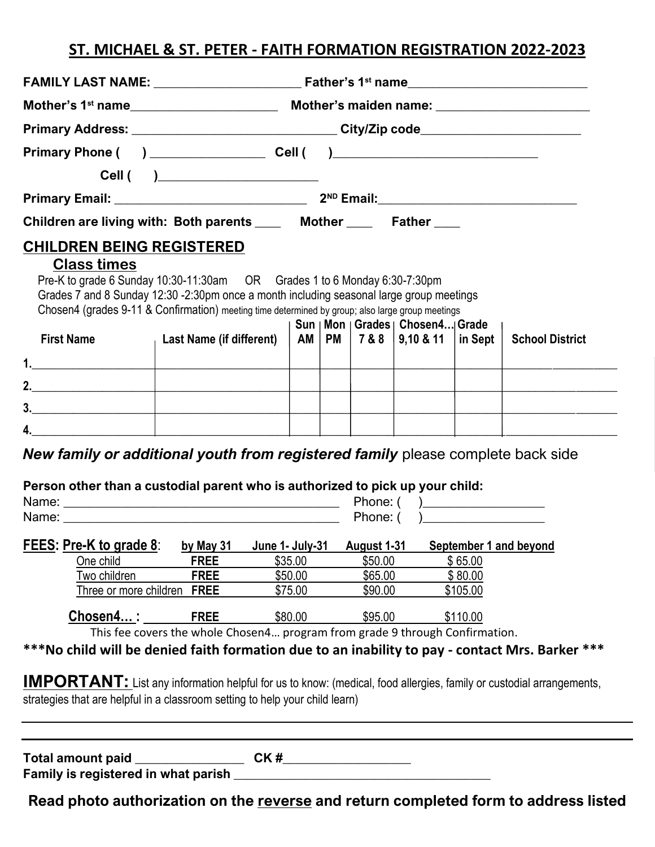## **ST. MICHAEL & ST. PETER - FAITH FORMATION REGISTRATION 2022-2023**

| Primary Address: __________________________________City/Zip code________________                                                                                                                                                                                                                |                                                                                                                       |  |                               |  |                               |                                                                             |                                |                        |  |  |  |
|-------------------------------------------------------------------------------------------------------------------------------------------------------------------------------------------------------------------------------------------------------------------------------------------------|-----------------------------------------------------------------------------------------------------------------------|--|-------------------------------|--|-------------------------------|-----------------------------------------------------------------------------|--------------------------------|------------------------|--|--|--|
|                                                                                                                                                                                                                                                                                                 |                                                                                                                       |  |                               |  |                               |                                                                             |                                |                        |  |  |  |
|                                                                                                                                                                                                                                                                                                 | Cell ( )______________________                                                                                        |  |                               |  |                               |                                                                             |                                |                        |  |  |  |
|                                                                                                                                                                                                                                                                                                 |                                                                                                                       |  |                               |  |                               |                                                                             |                                |                        |  |  |  |
| Children are living with: Both parents _____ Mother _____ Father ____                                                                                                                                                                                                                           |                                                                                                                       |  |                               |  |                               |                                                                             |                                |                        |  |  |  |
| <b>CHILDREN BEING REGISTERED</b>                                                                                                                                                                                                                                                                |                                                                                                                       |  |                               |  |                               |                                                                             |                                |                        |  |  |  |
| <b>Class times</b><br>Pre-K to grade 6 Sunday 10:30-11:30am OR Grades 1 to 6 Monday 6:30-7:30pm<br>Grades 7 and 8 Sunday 12:30 -2:30pm once a month including seasonal large group meetings<br>Chosen4 (grades 9-11 & Confirmation) meeting time determined by group; also large group meetings |                                                                                                                       |  |                               |  |                               |                                                                             |                                |                        |  |  |  |
| <b>First Name</b>                                                                                                                                                                                                                                                                               | <b>Last Name (if different)</b>                                                                                       |  |                               |  |                               | Sun   Mon   Grades   Chosen4 Grade<br>AM   PM   7 & 8   9,10 & 11   in Sept |                                | <b>School District</b> |  |  |  |
|                                                                                                                                                                                                                                                                                                 |                                                                                                                       |  |                               |  |                               |                                                                             |                                |                        |  |  |  |
| $\begin{array}{c c c c c} \hline \textbf{1} & \textbf{1} & \textbf{1} & \textbf{1} \\ \hline \end{array}$                                                                                                                                                                                       | <u> 1989 - Johann Harry Barn, mars ar breist fan de Fryske kommunent fan de Fryske kommunent fan de Fryske kommun</u> |  |                               |  |                               |                                                                             |                                |                        |  |  |  |
| 2. $\qquad \qquad$                                                                                                                                                                                                                                                                              |                                                                                                                       |  |                               |  |                               |                                                                             |                                |                        |  |  |  |
| $\overline{\phantom{a}3.}$<br>$\mathsf{4.}$                                                                                                                                                                                                                                                     |                                                                                                                       |  |                               |  |                               |                                                                             |                                |                        |  |  |  |
| <b>New family or additional youth from registered family</b> please complete back side<br>Person other than a custodial parent who is authorized to pick up your child:                                                                                                                         |                                                                                                                       |  |                               |  |                               |                                                                             |                                |                        |  |  |  |
|                                                                                                                                                                                                                                                                                                 |                                                                                                                       |  |                               |  |                               |                                                                             |                                |                        |  |  |  |
| FEES: Pre-K to grade 8: by May 31 June 1- July-31 August 1-31 September 1 and beyond<br>One child<br>Two children<br>Three or more children FREE                                                                                                                                                | <b>FREE</b><br><b>FREE</b>                                                                                            |  | \$35.00<br>\$50.00<br>\$75.00 |  | \$50.00<br>\$65.00<br>\$90.00 |                                                                             | \$65.00<br>\$80.00<br>\$105.00 |                        |  |  |  |
| Chosen4:                                                                                                                                                                                                                                                                                        | <b>FREE</b>                                                                                                           |  | \$80.00                       |  | \$95.00                       |                                                                             | \$110.00                       |                        |  |  |  |
| ***No child will be denied faith formation due to an inability to pay - contact Mrs. Barker ***                                                                                                                                                                                                 | This fee covers the whole Chosen4 program from grade 9 through Confirmation.                                          |  |                               |  |                               |                                                                             |                                |                        |  |  |  |
| <b>IMPORTANT:</b> List any information helpful for us to know: (medical, food allergies, family or custodial arrangements,<br>strategies that are helpful in a classroom setting to help your child learn)                                                                                      |                                                                                                                       |  |                               |  |                               |                                                                             |                                |                        |  |  |  |

**Total amount paid \_\_\_\_\_\_\_\_\_\_\_\_\_\_\_\_\_ CK #\_\_\_\_\_\_\_\_\_\_\_\_\_\_\_\_\_\_\_\_** 

**Family is registered in what parish \_\_\_\_\_\_\_\_\_\_\_\_\_\_\_\_\_\_\_\_\_\_\_\_\_\_\_\_\_\_\_\_\_\_\_\_\_\_\_\_**

**Read photo authorization on the reverse and return completed form to address listed**